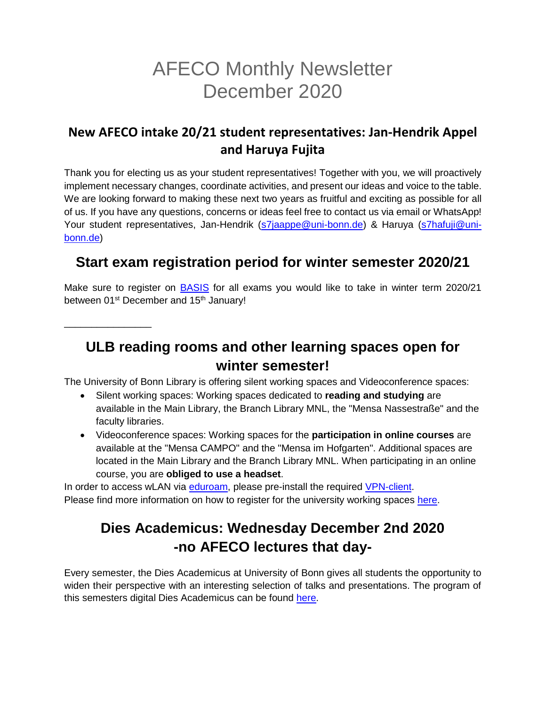# AFECO Monthly Newsletter December 2020

#### **New AFECO intake 20/21 student representatives: Jan-Hendrik Appel and Haruya Fujita**

Thank you for electing us as your student representatives! Together with you, we will proactively implement necessary changes, coordinate activities, and present our ideas and voice to the table. We are looking forward to making these next two years as fruitful and exciting as possible for all of us. If you have any questions, concerns or ideas feel free to contact us via email or WhatsApp! Your student representatives, Jan-Hendrik [\(s7jaappe@uni-bonn.de\)](mailto:s7jaappe@uni-bonn.de) & Haruya [\(s7hafuji@uni](mailto:s7hafuji@uni-bonn.de)[bonn.de\)](mailto:s7hafuji@uni-bonn.de)

### **Start exam registration period for winter semester 2020/21**

Make sure to register on **BASIS** for all exams you would like to take in winter term 2020/21 between 01<sup>st</sup> December and 15<sup>th</sup> January!

\_\_\_\_\_\_\_\_\_\_\_\_\_\_\_\_

## **ULB reading rooms and other learning spaces open for winter semester!**

The University of Bonn Library is offering silent working spaces and Videoconference spaces:

- Silent working spaces: Working spaces dedicated to **reading and studying** are available in the Main Library, the Branch Library MNL, the "Mensa Nassestraße" and the faculty libraries.
- Videoconference spaces: Working spaces for the **participation in online courses** are available at the "Mensa CAMPO" and the "Mensa im Hofgarten". Additional spaces are located in the Main Library and the Branch Library MNL. When participating in an online course, you are **obliged to use a headset**.

In order to access wLAN via [eduroam,](https://www.hrz.uni-bonn.de/en/services/internet-and-network-access/wlan?set_language=en) please pre-install the required [VPN-client.](https://www.hrz.uni-bonn.de/en/services/internet-and-network-access/vpn?set_language=en) Please find more information on how to register for the university working spaces [here.](https://www.ulb.uni-bonn.de/en/corona/lernraeume-2020-2013-mit-abstand-besser-lernen?set_language=en)

# **Dies Academicus: Wednesday December 2nd 2020 -no AFECO lectures that day-**

Every semester, the Dies Academicus at University of Bonn gives all students the opportunity to widen their perspective with an interesting selection of talks and presentations. The program of this semesters digital Dies Academicus can be found [here.](https://www.uni-bonn.de/studium/studium-universale/dies-academicus)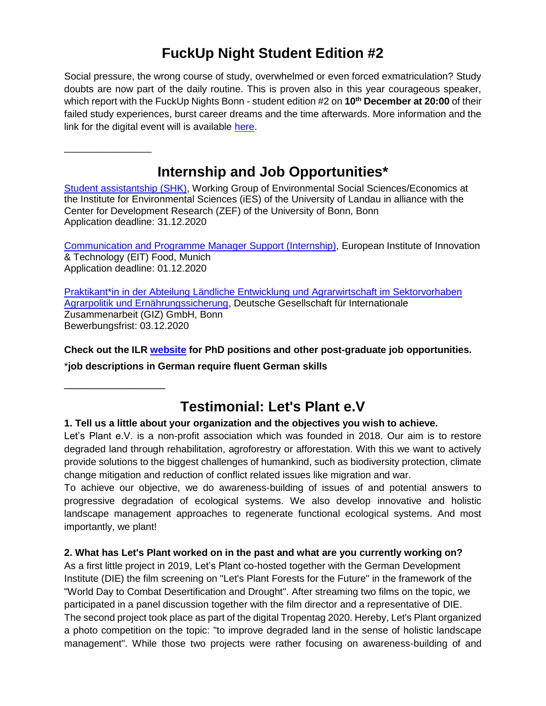### **FuckUp Night Student Edition #2**

Social pressure, the wrong course of study, overwhelmed or even forced exmatriculation? Study doubts are now part of the daily routine. This is proven also in this year courageous speaker, which report with the FuckUp Nights Bonn - student edition #2 on **10th December at 20:00** of their failed study experiences, burst career dreams and the time afterwards. More information and the link for the digital event will is available [here.](https://www.uni-bonn.de/studium/im-studium/besondere-anliegen-unterstuetzungsangebote/studienzweifel/fuckup-nights-bonn-student-edition)

### **Internship and Job Opportunities\***

[Student assistantship \(SHK\),](https://www.zef.de/fileadmin/webfiles/downloads/vacancies/SHK_call_2021.pdf) Working Group of Environmental Social Sciences/Economics at the Institute for Environmental Sciences (iES) of the University of Landau in alliance with the Center for Development Research (ZEF) of the University of Bonn, Bonn Application deadline: 31.12.2020

[Communication and Programme Manager Support \(Internship\),](https://jobpage.cvwarehouse.com/?companyGuid=2b9735ff-75aa-430c-aa9c-33ea2f65f013&channel=own_website&lang=en-US&job=195859) European Institute of Innovation & Technology (EIT) Food, Munich Application deadline: 01.12.2020

[Praktikant\\*in in der Abteilung Ländliche Entwicklung und Agrarwirtschaft im Sektorvorhaben](https://jobs.giz.de/index.php?ac=jobad&id=52293)  [Agrarpolitik und Ernährungssicherung,](https://jobs.giz.de/index.php?ac=jobad&id=52293) Deutsche Gesellschaft für Internationale Zusammenarbeit (GIZ) GmbH, Bonn Bewerbungsfrist: 03.12.2020

**Check out the ILR [website](https://www.ilr1.uni-bonn.de/de/jobs/stellenanzeigen) for PhD positions and other post-graduate job opportunities.**

\***job descriptions in German require fluent German skills**

\_\_\_\_\_\_\_\_\_\_\_\_\_\_\_\_\_

\_\_\_\_\_\_\_\_\_\_\_\_\_\_\_\_

# **Testimonial: Let's Plant e.V**

#### **1. Tell us a little about your organization and the objectives you wish to achieve.**

Let's Plant e.V. is a non-profit association which was founded in 2018. Our aim is to restore degraded land through rehabilitation, agroforestry or afforestation. With this we want to actively provide solutions to the biggest challenges of humankind, such as biodiversity protection, climate change mitigation and reduction of conflict related issues like migration and war.

To achieve our objective, we do awareness-building of issues of and potential answers to progressive degradation of ecological systems. We also develop innovative and holistic landscape management approaches to regenerate functional ecological systems. And most importantly, we plant!

#### **2. What has Let's Plant worked on in the past and what are you currently working on?**

As a first little project in 2019, Let's Plant co-hosted together with the German Development Institute (DIE) the film screening on "Let's Plant Forests for the Future" in the framework of the "World Day to Combat Desertification and Drought". After streaming two films on the topic, we participated in a panel discussion together with the film director and a representative of DIE. The second project took place as part of the digital Tropentag 2020. Hereby, Let's Plant organized a photo competition on the topic: "to improve degraded land in the sense of holistic landscape management". While those two projects were rather focusing on awareness-building of and